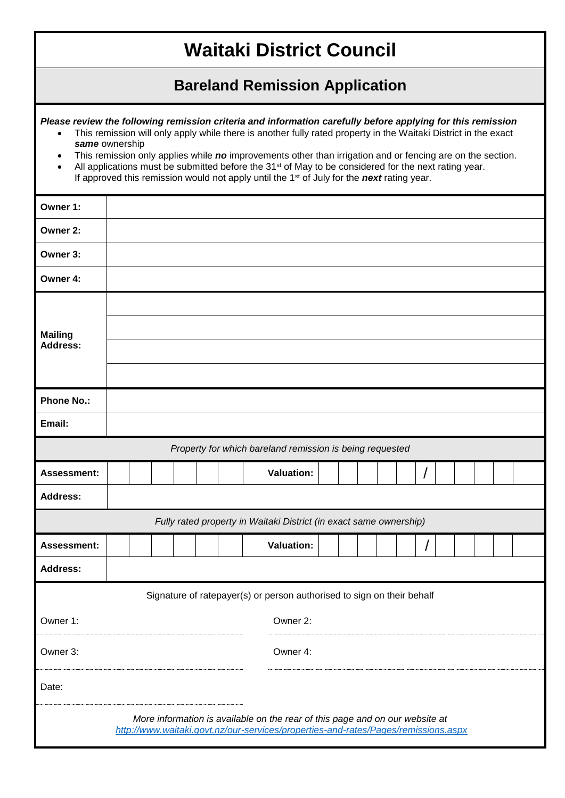## **Waitaki District Council**

## **Bareland Remission Application**

*Please review the following remission criteria and information carefully before applying for this remission*

- This remission will only apply while there is another fully rated property in the Waitaki District in the exact *same* ownership
- This remission only applies while *no* improvements other than irrigation and or fencing are on the section.
- All applications must be submitted before the 31<sup>st</sup> of May to be considered for the next rating year. If approved this remission would not apply until the 1st of July for the *next* rating year.

| Owner 1:                                                               |                                                                                                                                                                    |
|------------------------------------------------------------------------|--------------------------------------------------------------------------------------------------------------------------------------------------------------------|
| Owner 2:                                                               |                                                                                                                                                                    |
| Owner 3:                                                               |                                                                                                                                                                    |
| Owner 4:                                                               |                                                                                                                                                                    |
| <b>Mailing</b><br><b>Address:</b>                                      |                                                                                                                                                                    |
|                                                                        |                                                                                                                                                                    |
|                                                                        |                                                                                                                                                                    |
| <b>Phone No.:</b>                                                      |                                                                                                                                                                    |
| Email:                                                                 |                                                                                                                                                                    |
| Property for which bareland remission is being requested               |                                                                                                                                                                    |
| <b>Assessment:</b>                                                     | <b>Valuation:</b>                                                                                                                                                  |
| <b>Address:</b>                                                        |                                                                                                                                                                    |
| Fully rated property in Waitaki District (in exact same ownership)     |                                                                                                                                                                    |
| <b>Assessment:</b>                                                     | <b>Valuation:</b>                                                                                                                                                  |
| <b>Address:</b>                                                        |                                                                                                                                                                    |
| Signature of ratepayer(s) or person authorised to sign on their behalf |                                                                                                                                                                    |
| Owner 1:                                                               | Owner 2:                                                                                                                                                           |
| Owner 3:                                                               | Owner 4:                                                                                                                                                           |
| Date:                                                                  |                                                                                                                                                                    |
|                                                                        | More information is available on the rear of this page and on our website at<br>http://www.waitaki.govt.nz/our-services/properties-and-rates/Pages/remissions.aspx |